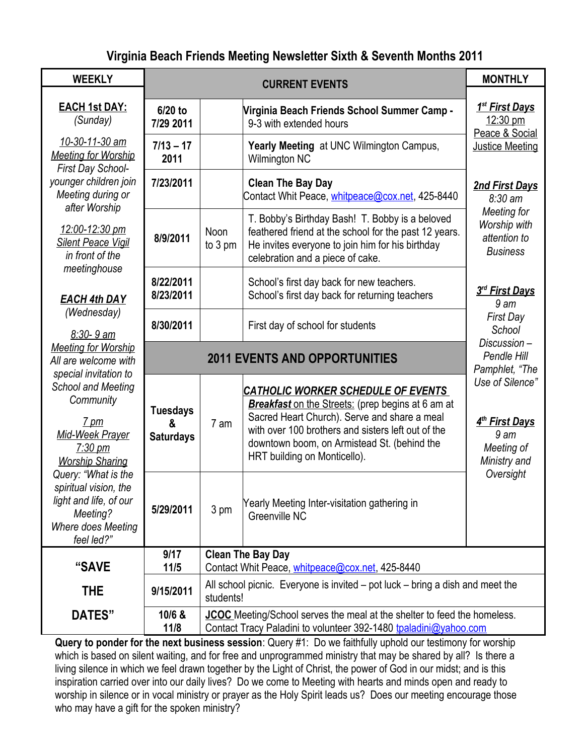## **Virginia Beach Friends Meeting Newsletter Sixth & Seventh Months 2011**

| <b>WEEKLY</b>                                                                                                                                                                                                                                                                                                                                                                                              | <b>CURRENT EVENTS</b>                    |                                                                                                                                                     |                                                                                                                                                                                                                                                                                            | <b>MONTHLY</b>                                                                                               |
|------------------------------------------------------------------------------------------------------------------------------------------------------------------------------------------------------------------------------------------------------------------------------------------------------------------------------------------------------------------------------------------------------------|------------------------------------------|-----------------------------------------------------------------------------------------------------------------------------------------------------|--------------------------------------------------------------------------------------------------------------------------------------------------------------------------------------------------------------------------------------------------------------------------------------------|--------------------------------------------------------------------------------------------------------------|
| <b>EACH 1st DAY:</b><br>(Sunday)                                                                                                                                                                                                                                                                                                                                                                           | 6/20 to<br>7/29 2011                     |                                                                                                                                                     | Virginia Beach Friends School Summer Camp -<br>9-3 with extended hours                                                                                                                                                                                                                     | <u>1<sup>st</sup> First Days</u><br>12:30 pm<br>Peace & Social                                               |
| 10-30-11-30 am<br><b>Meeting for Worship</b><br>First Day School-<br>younger children join<br>Meeting during or<br>after Worship<br>12:00-12:30 pm<br><b>Silent Peace Vigil</b><br>in front of the                                                                                                                                                                                                         | $7/13 - 17$<br>2011                      |                                                                                                                                                     | Yearly Meeting at UNC Wilmington Campus,<br><b>Wilmington NC</b>                                                                                                                                                                                                                           | <b>Justice Meeting</b>                                                                                       |
|                                                                                                                                                                                                                                                                                                                                                                                                            | 7/23/2011                                |                                                                                                                                                     | <b>Clean The Bay Day</b><br>Contact Whit Peace, whitpeace@cox.net, 425-8440                                                                                                                                                                                                                | <b>2nd First Days</b><br>$8:30 \text{ am}$<br>Meeting for<br>Worship with<br>attention to<br><b>Business</b> |
|                                                                                                                                                                                                                                                                                                                                                                                                            | 8/9/2011                                 | Noon<br>to 3 pm                                                                                                                                     | T. Bobby's Birthday Bash! T. Bobby is a beloved<br>feathered friend at the school for the past 12 years.<br>He invites everyone to join him for his birthday<br>celebration and a piece of cake.                                                                                           |                                                                                                              |
| meetinghouse<br><b>EACH 4th DAY</b><br>(Wednesday)<br>$8:30 - 9$ am<br><b>Meeting for Worship</b><br>All are welcome with<br>special invitation to<br>School and Meeting<br>Community<br>$7 \text{ pm}$<br><b>Mid-Week Prayer</b><br>$7:30 \text{ pm}$<br><b>Worship Sharing</b><br>Query: "What is the<br>spiritual vision, the<br>light and life, of our<br>Meeting?<br>Where does Meeting<br>feel led?" | 8/22/2011<br>8/23/2011                   |                                                                                                                                                     | School's first day back for new teachers.<br>School's first day back for returning teachers                                                                                                                                                                                                | 3rd First Days<br>9 <sub>am</sub>                                                                            |
|                                                                                                                                                                                                                                                                                                                                                                                                            | 8/30/2011                                |                                                                                                                                                     | First day of school for students                                                                                                                                                                                                                                                           | <b>First Day</b><br>School                                                                                   |
|                                                                                                                                                                                                                                                                                                                                                                                                            | <b>2011 EVENTS AND OPPORTUNITIES</b>     |                                                                                                                                                     |                                                                                                                                                                                                                                                                                            | Discussion-<br>Pendle Hill<br>Pamphlet, "The                                                                 |
|                                                                                                                                                                                                                                                                                                                                                                                                            | <b>Tuesdays</b><br>&<br><b>Saturdays</b> | 7 am                                                                                                                                                | <b>CATHOLIC WORKER SCHEDULE OF EVENTS</b><br><b>Breakfast</b> on the Streets: (prep begins at 6 am at<br>Sacred Heart Church). Serve and share a meal<br>with over 100 brothers and sisters left out of the<br>downtown boom, on Armistead St. (behind the<br>HRT building on Monticello). | Use of Silence"<br>4 <sup>th</sup> First Days<br>9 am<br>Meeting of<br>Ministry and<br>Oversight             |
|                                                                                                                                                                                                                                                                                                                                                                                                            | 5/29/2011                                | 3 pm                                                                                                                                                | Yearly Meeting Inter-visitation gathering in<br>Greenville NC                                                                                                                                                                                                                              |                                                                                                              |
| "SAVE                                                                                                                                                                                                                                                                                                                                                                                                      | 9/17<br>11/5                             | <b>Clean The Bay Day</b><br>Contact Whit Peace, whitpeace@cox.net, 425-8440                                                                         |                                                                                                                                                                                                                                                                                            |                                                                                                              |
| <b>THE</b>                                                                                                                                                                                                                                                                                                                                                                                                 | 9/15/2011                                | All school picnic. Everyone is invited $-$ pot luck $-$ bring a dish and meet the<br>students!                                                      |                                                                                                                                                                                                                                                                                            |                                                                                                              |
| DATES"                                                                                                                                                                                                                                                                                                                                                                                                     | 10/6 &<br>11/8                           | <b>JCOC</b> Meeting/School serves the meal at the shelter to feed the homeless.<br>Contact Tracy Paladini to volunteer 392-1480 tpaladini@yahoo.com |                                                                                                                                                                                                                                                                                            |                                                                                                              |

**Query to ponder for the next business session**: Query #1: Do we faithfully uphold our testimony for worship which is based on silent waiting, and for free and unprogrammed ministry that may be shared by all? Is there a living silence in which we feel drawn together by the Light of Christ, the power of God in our midst; and is this inspiration carried over into our daily lives? Do we come to Meeting with hearts and minds open and ready to worship in silence or in vocal ministry or prayer as the Holy Spirit leads us? Does our meeting encourage those who may have a gift for the spoken ministry?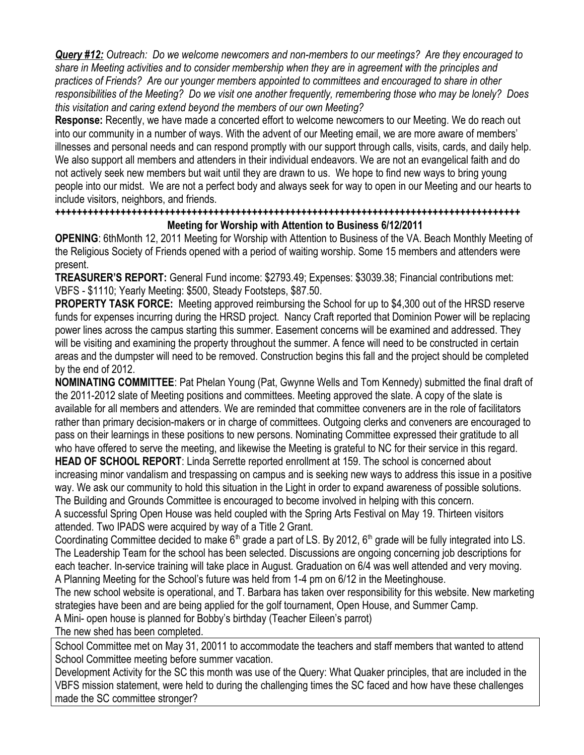*Query #12: Outreach: Do we welcome newcomers and non-members to our meetings? Are they encouraged to share in Meeting activities and to consider membership when they are in agreement with the principles and practices of Friends? Are our younger members appointed to committees and encouraged to share in other responsibilities of the Meeting? Do we visit one another frequently, remembering those who may be lonely? Does this visitation and caring extend beyond the members of our own Meeting?*

**Response:** Recently, we have made a concerted effort to welcome newcomers to our Meeting. We do reach out into our community in a number of ways. With the advent of our Meeting email, we are more aware of members' illnesses and personal needs and can respond promptly with our support through calls, visits, cards, and daily help. We also support all members and attenders in their individual endeavors. We are not an evangelical faith and do not actively seek new members but wait until they are drawn to us. We hope to find new ways to bring young people into our midst. We are not a perfect body and always seek for way to open in our Meeting and our hearts to include visitors, neighbors, and friends.

## **+++++++++++++++++++++++++++++++++++++++++++++++++++++++++++++++++++++++++++++++++++++ Meeting for Worship with Attention to Business 6/12/2011**

**OPENING**: 6thMonth 12, 2011 Meeting for Worship with Attention to Business of the VA. Beach Monthly Meeting of the Religious Society of Friends opened with a period of waiting worship. Some 15 members and attenders were present.

**TREASURER'S REPORT:** General Fund income: \$2793.49; Expenses: \$3039.38; Financial contributions met: VBFS - \$1110; Yearly Meeting: \$500, Steady Footsteps, \$87.50.

**PROPERTY TASK FORCE:** Meeting approved reimbursing the School for up to \$4,300 out of the HRSD reserve funds for expenses incurring during the HRSD project. Nancy Craft reported that Dominion Power will be replacing power lines across the campus starting this summer. Easement concerns will be examined and addressed. They will be visiting and examining the property throughout the summer. A fence will need to be constructed in certain areas and the dumpster will need to be removed. Construction begins this fall and the project should be completed by the end of 2012.

**NOMINATING COMMITTEE**: Pat Phelan Young (Pat, Gwynne Wells and Tom Kennedy) submitted the final draft of the 2011-2012 slate of Meeting positions and committees. Meeting approved the slate. A copy of the slate is available for all members and attenders. We are reminded that committee conveners are in the role of facilitators rather than primary decision-makers or in charge of committees. Outgoing clerks and conveners are encouraged to pass on their learnings in these positions to new persons. Nominating Committee expressed their gratitude to all who have offered to serve the meeting, and likewise the Meeting is grateful to NC for their service in this regard.

**HEAD OF SCHOOL REPORT**: Linda Serrette reported enrollment at 159. The school is concerned about increasing minor vandalism and trespassing on campus and is seeking new ways to address this issue in a positive way. We ask our community to hold this situation in the Light in order to expand awareness of possible solutions. The Building and Grounds Committee is encouraged to become involved in helping with this concern.

A successful Spring Open House was held coupled with the Spring Arts Festival on May 19. Thirteen visitors attended. Two IPADS were acquired by way of a Title 2 Grant.

Coordinating Committee decided to make  $6<sup>th</sup>$  grade a part of LS. By 2012,  $6<sup>th</sup>$  grade will be fully integrated into LS. The Leadership Team for the school has been selected. Discussions are ongoing concerning job descriptions for each teacher. In-service training will take place in August. Graduation on 6/4 was well attended and very moving. A Planning Meeting for the School's future was held from 1-4 pm on 6/12 in the Meetinghouse.

The new school website is operational, and T. Barbara has taken over responsibility for this website. New marketing strategies have been and are being applied for the golf tournament, Open House, and Summer Camp.

A Mini- open house is planned for Bobby's birthday (Teacher Eileen's parrot)

The new shed has been completed.

School Committee met on May 31, 20011 to accommodate the teachers and staff members that wanted to attend School Committee meeting before summer vacation.

Development Activity for the SC this month was use of the Query: What Quaker principles, that are included in the VBFS mission statement, were held to during the challenging times the SC faced and how have these challenges made the SC committee stronger?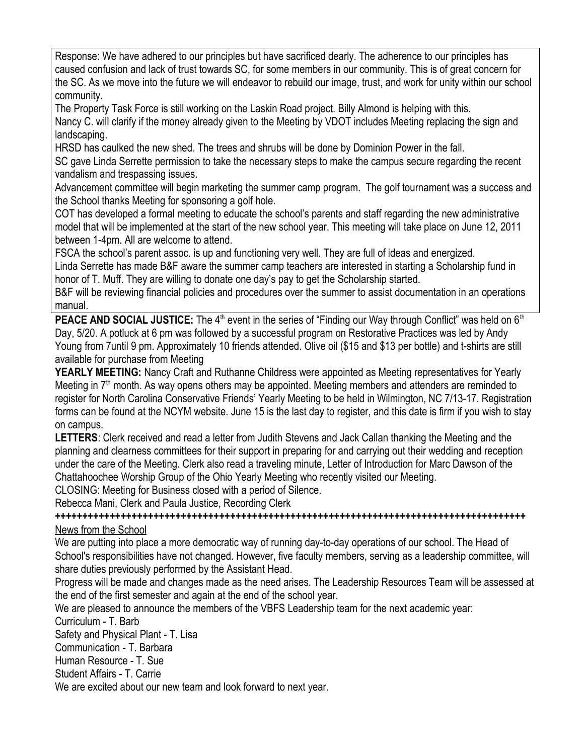Response: We have adhered to our principles but have sacrificed dearly. The adherence to our principles has caused confusion and lack of trust towards SC, for some members in our community. This is of great concern for the SC. As we move into the future we will endeavor to rebuild our image, trust, and work for unity within our school community.

The Property Task Force is still working on the Laskin Road project. Billy Almond is helping with this. Nancy C. will clarify if the money already given to the Meeting by VDOT includes Meeting replacing the sign and landscaping.

HRSD has caulked the new shed. The trees and shrubs will be done by Dominion Power in the fall.

SC gave Linda Serrette permission to take the necessary steps to make the campus secure regarding the recent vandalism and trespassing issues.

Advancement committee will begin marketing the summer camp program. The golf tournament was a success and the School thanks Meeting for sponsoring a golf hole.

COT has developed a formal meeting to educate the school's parents and staff regarding the new administrative model that will be implemented at the start of the new school year. This meeting will take place on June 12, 2011 between 1-4pm. All are welcome to attend.

FSCA the school's parent assoc. is up and functioning very well. They are full of ideas and energized.

Linda Serrette has made B&F aware the summer camp teachers are interested in starting a Scholarship fund in honor of T. Muff. They are willing to donate one day's pay to get the Scholarship started.

B&F will be reviewing financial policies and procedures over the summer to assist documentation in an operations manual.

**PEACE AND SOCIAL JUSTICE:** The  $4<sup>th</sup>$  event in the series of "Finding our Way through Conflict" was held on  $6<sup>th</sup>$ Day, 5/20. A potluck at 6 pm was followed by a successful program on Restorative Practices was led by Andy Young from 7until 9 pm. Approximately 10 friends attended. Olive oil (\$15 and \$13 per bottle) and t-shirts are still available for purchase from Meeting

**YEARLY MEETING:** Nancy Craft and Ruthanne Childress were appointed as Meeting representatives for Yearly Meeting in  $7<sup>th</sup>$  month. As way opens others may be appointed. Meeting members and attenders are reminded to register for North Carolina Conservative Friends' Yearly Meeting to be held in Wilmington, NC 7/13-17. Registration forms can be found at the NCYM website. June 15 is the last day to register, and this date is firm if you wish to stay on campus.

**LETTERS**: Clerk received and read a letter from Judith Stevens and Jack Callan thanking the Meeting and the planning and clearness committees for their support in preparing for and carrying out their wedding and reception under the care of the Meeting. Clerk also read a traveling minute, Letter of Introduction for Marc Dawson of the Chattahoochee Worship Group of the Ohio Yearly Meeting who recently visited our Meeting.

CLOSING: Meeting for Business closed with a period of Silence.

Rebecca Mani, Clerk and Paula Justice, Recording Clerk

*++++++++++++++++++++++++++++++++++++++++++++++++++++++++++++++++++++++++++++++++++++++* News from the School

We are putting into place a more democratic way of running day-to-day operations of our school. The Head of School's responsibilities have not changed. However, five faculty members, serving as a leadership committee, will share duties previously performed by the Assistant Head.

Progress will be made and changes made as the need arises. The Leadership Resources Team will be assessed at the end of the first semester and again at the end of the school year.

We are pleased to announce the members of the VBFS Leadership team for the next academic year:

Curriculum - T. Barb

Safety and Physical Plant - T. Lisa

Communication - T. Barbara

Human Resource - T. Sue

Student Affairs - T. Carrie

We are excited about our new team and look forward to next year.